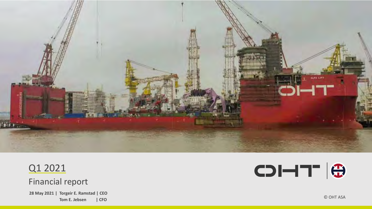

# Q1 2021

Financial report

**28 May 2021 | Torgeir E. Ramstad | CEO** Tom E. Jebsen | CFO



© OHT ASA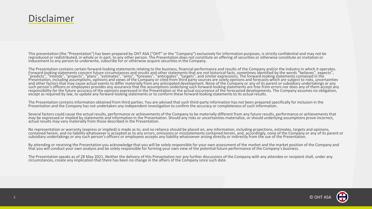## Disclaimer

This presentation (the "Presentation") has been prepared by OHT ASA ("OHT" or the "Company") exclusively for information purposes, is strictly confidential and may not be reproduced or redistributed, in whole or in part, to any other person. The Presentation does not constitute an offering of securities or otherwise constitute an invitation or inducement to any person to underwrite, subscribe for or otherwise acquire securities in the Company.

The Presentation contains certain forward-looking statements relating to the business, financial performance and results of the Company and/or the industry in which it operates. Forward-looking statements concern future circumstances and results and other statements that are not historical facts, sometimes identified by the words "believes", expects", "predicts", "intends", "projects", "plans", "estimates", "aims", "foresees", "anticipates", "targets", and similar expressions. The forward-looking statements contained in the Presentation, including assumptions, opinions and views of the Company or cited from third party sources are solely opinions and forecasts which are subject to risks, uncertainties and other factors that may cause actual events to differ materially from any anticipated development. None of the Company or any of its parent or subsidiary undertakings or any such person's officers or employees provides any assurance that the assumptions underlying such forward-looking statements are free from errors nor does any of them accept any responsibility for the future accuracy of the opinions expressed in the Presentation or the actual occurrence of the forecasted developments. The Company assumes no obligation, except as required by law, to update any forward-looking statements or to conform these forward-looking statements to its actual results.

The Presentation contains information obtained from third parties. You are advised that such third-party information has not been prepared specifically for inclusion in the Presentation and the Company has not undertaken any independent investigation to confirm the accuracy or completeness of such information.

Several factors could cause the actual results, performance or achievements of the Company to be materially different from any future results, performance or achievements that may be expressed or implied by statements and information in the Presentation. Should any risks or uncertainties materialize, or should underlying assumptions prove incorrect, actual results may vary materially from those described in the Presentation.

No representation or warranty (express or implied) is made as to, and no reliance should be placed on, any information, including projections, estimates, targets and opinions, contained herein, and no liability whatsoever is accepted as to any errors, omissions or misstatements contained herein, and, accordingly, none of the Company or any of its parent or subsidiary undertakings or any such person's officers or employees accepts any liability whatsoever arising directly or indirectly from the use of the Presentation.

By attending or receiving the Presentation you acknowledge that you will be solely responsible for your own assessment of the market and the market position of the Company and that you will conduct your own analysis and be solely responsible for forming your own view of the potential future performance of the Company's business.

The Presentation speaks as of 28 May 2021. Neither the delivery of this Presentation nor any further discussions of the Company with any attendee or recipient shall, under any circumstances, create any implication that there has been no change in the affairs of the Company since such date.

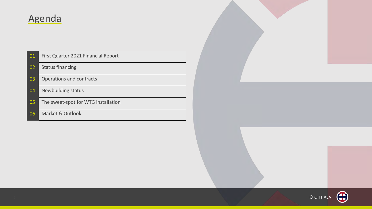# Agenda

| 01 | First Quarter 2021 Financial Report |
|----|-------------------------------------|
| 02 | <b>Status financing</b>             |
| 03 | Operations and contracts            |
| 04 | <b>Newbuilding status</b>           |
| 05 | The sweet-spot for WTG installation |
| 06 | Market & Outlook                    |

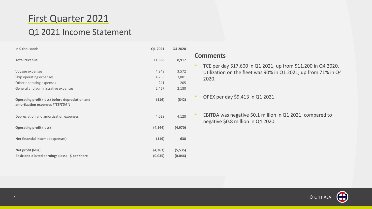# First Quarter 2021

## Q1 2021 Income Statement

| in \$ thousands                                                                            | Q1 2021  | Q4 2020  |
|--------------------------------------------------------------------------------------------|----------|----------|
| <b>Total revenue</b>                                                                       | 11,666   | 8,917    |
| Voyage expenses                                                                            | 4,848    | 3,572    |
| Ship operating expenses                                                                    | 4,236    | 3,801    |
| Other operating expenses                                                                   | 241      | 205      |
| General and administrative expenses                                                        | 2,457    | 2,180    |
| <b>Operating profit (loss) before depreciation and</b><br>amortization expenses ("EBITDA") | (116)    | (842)    |
| Depreciation and amortization expenses                                                     | 4,028    | 4,128    |
| <b>Operating profit (loss)</b>                                                             | (4, 144) | (4, 970) |
| <b>Net financial income (expenses)</b>                                                     | (119)    | 638      |
| Net profit (loss)                                                                          | (4, 263) | (5, 535) |
| Basic and diluted earnings (loss) - \$ per share                                           | (0.035)  | (0.046)  |

#### **Comments**

■ TCE per day \$17,600 in Q1 2021, up from \$11,200 in Q4 2020. Utilization on the fleet was 90% in Q1 2021, up from 71% in Q4 2020.

**• OPEX per day \$9,413 in Q1 2021.** 

■ EBITDA was negative \$0.1 million in Q1 2021, compared to negative \$0.8 million in Q4 2020.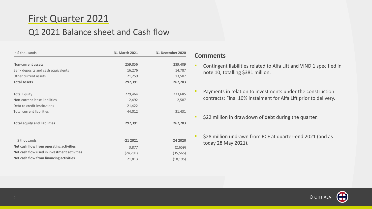# First Quarter 2021

## Q1 2021 Balance sheet and Cash flow

| in \$ thousands                     | 31 March 2021 | <b>31 December 2020</b> |
|-------------------------------------|---------------|-------------------------|
|                                     |               |                         |
| Non-current assets                  | 259,856       | 239,409                 |
| Bank deposits and cash equivalents  | 16,276        | 14,787                  |
| Other current assets                | 21,259        | 13,507                  |
| <b>Total Assets</b>                 | 297,391       | 267,703                 |
|                                     |               |                         |
| <b>Total Equity</b>                 | 229,464       | 233,685                 |
| Non-current lease liabilities       | 2,492         | 2,587                   |
| Debt to credit institutions         | 21,422        |                         |
| <b>Total current liabilities</b>    | 44,012        | 31,431                  |
|                                     |               |                         |
| <b>Total equity and liabilities</b> | 297,391       | 267,703                 |
|                                     |               |                         |
|                                     |               |                         |

| in \$ thousands                             | Q1 2021  | Q4 2020   |
|---------------------------------------------|----------|-----------|
| Net cash flow from operating activities     | 3.877    | (2,659)   |
| Net cash flow used in investment activities | (24.201) | (35, 565) |
| Net cash flow from financing activities     | 21.813   | (18, 195) |

#### **Comments**

- **EXECONTER 1** Contingent liabilities related to Alfa Lift and VIND 1 specified in note 10, totalling \$381 million.
- **•** Payments in relation to investments under the construction contracts: Final 10% instalment for Alfa Lift prior to delivery.
- \$22 million in drawdown of debt during the quarter.
- \$28 million undrawn from RCF at quarter-end 2021 (and as today 28 May 2021).

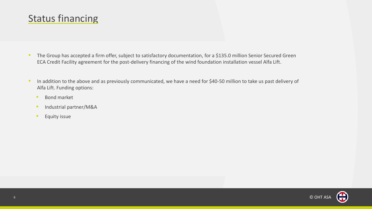# Status financing

- **The Group has accepted a firm offer, subject to satisfactory documentation, for a \$135.0 million Senior Secured Green** ECA Credit Facility agreement for the post-delivery financing of the wind foundation installation vessel Alfa Lift.
- **In addition to the above and as previously communicated, we have a need for \$40-50 million to take us past delivery of** Alfa Lift. Funding options:
	- Bond market
	- **·** Industrial partner/M&A
	- **Equity issue**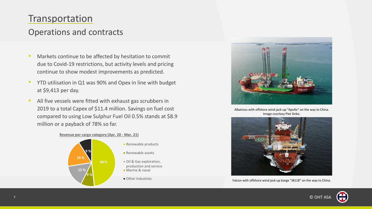## Transportation

## Operations and contracts

- **EXECT** Markets continue to be affected by hesitation to commit due to Covid-19 restrictions, but activity levels and pricing continue to show modest improvements as predicted.
- YTD utilisation in Q1 was 90% and Opex in line with budget at \$9,413 per day.
- All five vessels were fitted with exhaust gas scrubbers in 2019 to a total Capex of \$11.4 million. Savings on fuel cost compared to using Low Sulphur Fuel Oil 0.5% stands at \$8.9 million or a payback of 78% so far.







Albatross with offshore wind jack-up "Apollo" on the way to China. Image courtesy Piet Sinke.



Falcon with offshore wind jack-up barge "JB118" on the way to China.



© OHT ASA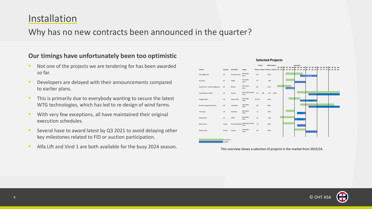# Installation

### Why has no new contracts been announced in the quarter?

#### **Our timings have unfortunately been too optimistic**

- Not one of the projects we are tendering for has been awarded so far.
- Developers are delayed with their announcements compared to earlier plans.
- **This is primarily due to everybody wanting to secure the latest** WTG technologies, which has led to re-design of wind farms.
- **EXECT** With very few exceptions, all have maintained their original execution schedules.
- Several have to award latest by Q3 2021 to avoid delaying other key milestones related to FID or auction participation.
- **E** Alfa Lift and Vind 1 are both available for the busy 2024 season.



This overview shows a selection of projects in the market from 2023/24.

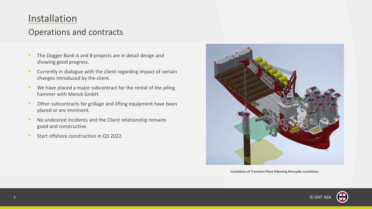# Installation

## Operations and contracts

- **The Dogger Bank A and B projects are in detail design and** showing good progress.
- **E** Currently in dialogue with the client regarding impact of certain changes introduced by the client.
- **EXEDENT We have placed a major subcontract for the rental of the piling** hammer with Menck GmbH.
- **Other subcontracts for grillage and lifting equipment have been** placed or are imminent.
- **No undesired incidents and the Client relationship remains** good and constructive.
- Start offshore construction in Q3 2022.



Installation of Transition Piece following Monopile installation.



© OHT ASA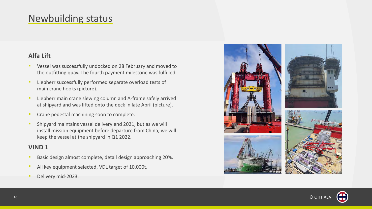# Newbuilding status

#### **Alfa Lift**

- Vessel was successfully undocked on 28 February and moved to the outfitting quay. The fourth payment milestone was fulfilled.
- Liebherr successfully performed separate overload tests of main crane hooks (picture).
- **EXECT** Liebherr main crane slewing column and A-frame safely arrived at shipyard and was lifted onto the deck in late April (picture).
- **Crane pedestal machining soon to complete.**
- Shipyard maintains vessel delivery end 2021, but as we will install mission equipment before departure from China, we will keep the vessel at the shipyard in Q1 2022.

#### **VIND 1**

- Basic design almost complete, detail design approaching 20%.
- All key equipment selected, VDL target of 10,000t.
- Delivery mid-2023.



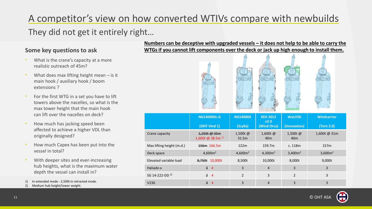# A competitor's view on how converted WTIVs compare with newbuilds

## They did not get it entirely right…

#### **Some key questions to ask**

- What is the crane's capacity at a more realistic outreach of 45m?
- What does max lifting height mean  $-$  is it main hook / auxiliary hook / boom extensions ?
- For the first WTG in a set you have to lift towers above the nacelles, so what is the max tower height that the main hook can lift over the nacelles on deck?
- How much has jacking speed been affected to achieve a higher VDL than originally designed?
- How much Capex has been put into the vessel in total?
- With deeper sites and ever-increasing hub heights, what is the maximum water depth the vessel can install in?
- 1) In extended mode 2,500t in retracted mode.
- 2) Medium hub height/tower weight.

#### **Numbers can be deceptive with upgraded vessels – it does not help to be able to carry the WTGs if you cannot lift components over the deck or jack up high enough to install them.**

|                            | <b>NG14000XL-G</b>                           | <b>NG14000X</b>     | <b>KEH 2012</b><br>v2.0       | Wat/OD                        | <b>Windcarrier</b>  |
|----------------------------|----------------------------------------------|---------------------|-------------------------------|-------------------------------|---------------------|
|                            | (OHT Vind 1)                                 | (Scylla)            | (Wind Orca)                   | (Innovation)                  | (Tern 2.0)          |
| Crane capacity             | 1,250t @ 35m<br>1,600t @ 38.5m <sup>1)</sup> | 1,500t@<br>31.5m    | 1,600t $@$<br>40 <sub>m</sub> | 1,500t $@$<br>40 <sub>m</sub> | 1,600t @ 31m        |
| Max lifting height (m.d.)  | 156m 166.5m                                  | 122m                | 159.7m                        | c. 118m                       | 157m                |
| Deck space                 | 4,600m <sup>2</sup>                          | 4,600m <sup>2</sup> | 4,300m <sup>2</sup>           | 3,400m <sup>2</sup>           | 3,600m <sup>2</sup> |
| Elevated variable load     | 8,750t 10,000t                               | 8,500t              | 10,000t                       | 8,000t                        | 9,000t              |
| Haliade-x                  | $\overline{3}$<br>$\overline{4}$             | 3                   | $\overline{4}$                | 3                             | 3                   |
| SG 14-222-DD <sup>2)</sup> | $\overline{2}$<br>$\overline{4}$             | $\overline{2}$      | 3                             | $\overline{2}$                | 3                   |
| V <sub>236</sub>           | $\overline{3}$<br>$\overline{4}$             | 3                   | 4                             | 3                             | 3                   |

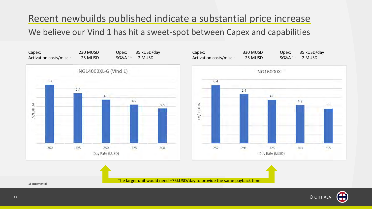# Recent newbuilds published indicate a substantial price increase

### We believe our Vind 1 has hit a sweet-spot between Capex and capabilities





The larger unit would need +75kUSD/day to provide the same payback time

1) Incremental

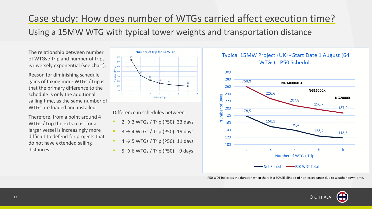# Case study: How does number of WTGs carried affect execution time?

## Using a 15MW WTG with typical tower weights and transportation distance

The relationship between number of WTGs / trip and number of trips is inversely exponential (see chart).

Reason for diminishing schedule gains of taking more WTGs / trip is that the primary difference to the schedule is only the additional sailing time, as the same number of WTGs are loaded and installed.

Therefore, from a point around 4 WTGs / trip the extra cost for a larger vessel is increasingly more difficult to defend for projects that do not have extended sailing distances.



Difference in schedules between

- $2 \rightarrow 3$  WTGs / Trip (P50): 33 days
- $3 \rightarrow 4$  WTGs / Trip (P50): 19 days
- $4 \rightarrow 5$  WTGs / Trip (P50): 11 days
- $5 \rightarrow 6$  WTGs / Trip (P50): 9 days





P50 WDT indicates the duration when there is a 50% likelihood of non-exceedance due to weather down-time.

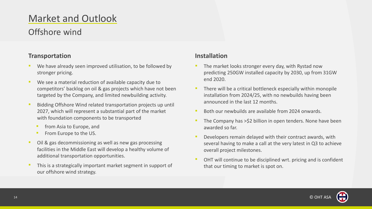# Market and Outlook

## Offshore wind

#### **Transportation**

- We have already seen improved utilisation, to be followed by stronger pricing.
- We see a material reduction of available capacity due to competitors' backlog on oil & gas projects which have not been targeted by the Company, and limited newbuilding activity.
- Bidding Offshore Wind related transportation projects up until 2027, which will represent a substantial part of the market with foundation components to be transported
	- **•** from Asia to Europe, and
	- From Europe to the US.
- Oil & gas decommissioning as well as new gas processing facilities in the Middle East will develop a healthy volume of additional transportation opportunities.
- This is a strategically important market segment in support of our offshore wind strategy.

#### **Installation**

- The market looks stronger every day, with Rystad now predicting 250GW installed capacity by 2030, up from 31GW end 2020.
- **EXTERN THERE WE WE ARE EXAMPLE THE PROPERTY THERE** There will be a critical bottleneck especially within monopile installation from 2024/25, with no newbuilds having been announced in the last 12 months.
- Both our newbuilds are available from 2024 onwards.
- The Company has >\$2 billion in open tenders. None have been awarded so far.
- Developers remain delayed with their contract awards, with several having to make a call at the very latest in Q3 to achieve overall project milestones.
- OHT will continue to be disciplined wrt. pricing and is confident that our timing to market is spot on.



© OHT ASA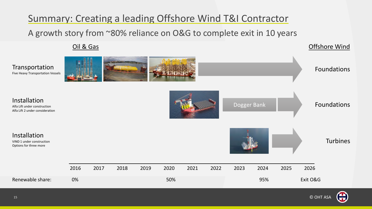# Summary: Creating a leading Offshore Wind T&I Contractor

A growth story from ~80% reliance on O&G to complete exit in 10 years